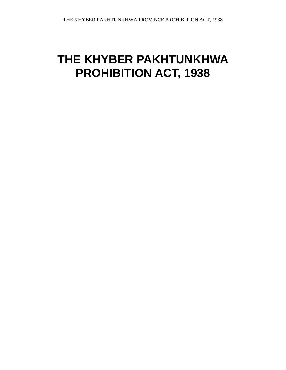# **THE KHYBER PAKHTUNKHWA PROHIBITION ACT, 1938**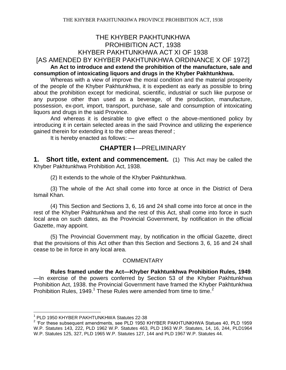# THE KHYBER PAKHTUNKHWA PROHIBITION ACT, 1938 KHYBER PAKHTUNKHWA ACT XI OF 1938 [AS AMENDED BY KHYBER PAKHTUNKHWA ORDINANCE X OF 1972]

**An Act to introduce and extend the prohibition of the manufacture, sale and consumption of intoxicating liquors and drugs in the Khyber Pakhtunkhwa.**

Whereas with a view of improve the moral condition and the material prosperity of the people of the Khyber Pakhtunkhwa, it is expedient as early as possible to bring about the prohibition except for medicinal, scientific, industrial or such like purpose or any purpose other than used as a beverage, of the production, manufacture, possession, ex-port, import, transport, purchase, sale and consumption of intoxicating liquors and drugs in the said Province.

And whereas it is desirable to give effect o the above-mentioned policy by introducing it in certain selected areas in the said Province and utilizing the experience gained therein for extending it to the other areas thereof ;

It is hereby enacted as follows: —

# **CHAPTER I**—PRELIMINARY

**1. Short title, extent and commencement.** (1) This Act may be called the Khyber Pakhtunkhwa Prohibition Act, 1938.

(2) It extends to the whole of the Khyber Pakhtunkhwa.

(3) The whole of the Act shall come into force at once in the District of Dera Ismail Khan.

(4) This Section and Sections 3, 6, 16 and 24 shall come into force at once in the rest of the Khyber Pakhtunkhwa and the rest of this Act, shall come into force in such local area on such dates, as the Provincial Government, by notification in the official Gazette, may appoint.

(5) The Provincial Government may, by notification in the official Gazette, direct that the provisions of this Act other than this Section and Sections 3, 6, 16 and 24 shall cease to be in force in any local area.

## COMMENTARY

**Rules framed under the Act—Khyber Pakhtunkhwa Prohibition Rules, 1949***.*  —In exercise of the powers conferred by Section 53 of the Khyber Pakhtunkhwa Prohibition Act, 1938. the Provincial Government have framed the Khyber Pakhtunkhwa Prohibition Rules, 1949.<sup>1</sup> These Rules were amended from time to time.<sup>2</sup>

<sup>1</sup> PLD 1950 KHYBER PAKHTUNKHWA Statutes 22-38

 $2$  'For these subsequent amendments, see PLD 1950 KHYBER PAKHTUNKHWA Statues 40, PLD 1959 W.P. Statutes 143, 222, PLD 1962 W.P. Statutes 463, PLD 1963 W.P. Statutes, 14, 16, 244, PLD1964 W.P. Statutes 125, 327, PLD 1965 W.P. Statutes 127, 144 and PLD 1967 W.P. Statutes 44.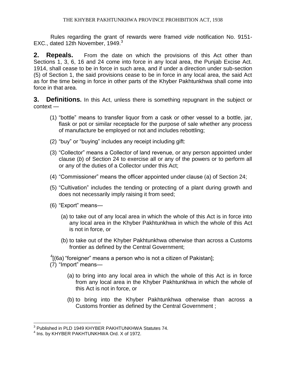Rules regarding the grant of rewards were framed *vide* notification No. 9151- EXC., dated 12th November, 1949. $3$ 

**2. Repeals.** From the date on which the provisions of this Act other than Sections 1, 3, 6, 16 and 24 come into force in any local area, the Punjab Excise Act. 1914, shall cease to be in force in such area, and if under a direction under sub-section (5) of Section 1, the said provisions cease to be in force in any local area, the said Act as for the time being in force in other parts of the Khyber Pakhtunkhwa shall come into force in that area.

**3. Definitions.** In this Act, unless there is something repugnant in the subject or context —

- (1) "bottle" means to transfer liquor from a cask or other vessel to a bottle, jar, flask or pot or similar receptacle for the purpose of sale whether any process of manufacture be employed or not and includes rebottling;
- (2) "buy" or "buying" includes any receipt including gift:
- (3) "Collector" means a Collector of land revenue, or any person appointed under clause (*b*) of Section 24 to exercise all or any of the powers or to perform all or any of the duties of a Collector under this Act;
- (4) "Commissioner" means the officer appointed under clause (a) of Section 24;
- (5) "Cultivation" includes the tending or protecting of a plant during growth and does not necessarily imply raising it from seed;
- (6) "Export" means—
	- (a) to take out of any local area in which the whole of this Act is in force into any local area in the Khyber Pakhtunkhwa in which the whole of this Act is not in force, or
	- (b) to take out of the Khyber Pakhtunkhwa otherwise than across a Customs frontier as defined by the Central Government;

 $\rm ^4$ [(6a) "foreigner" means a person who is not a citizen of Pakistan];

(7) "Import" means—

- (a) to bring into any local area in which the whole of this Act is in force from any local area in the Khyber Pakhtunkhwa in which the whole of this Act is not in force, or
- (b) to bring into the Khyber Pakhtunkhwa otherwise than across a Customs frontier as defined by the Central Government ;

 $\overline{a}$  $^3$  Published in PLD 1949 KHYBER PAKHTUNKHWA Statutes 74.

<sup>&</sup>lt;sup>4</sup> Ins. by KHYBER PAKHTUNKHWA Ord. X of 1972.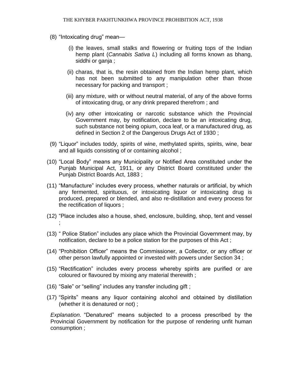- (8) "Intoxicating drug" mean—
	- (i) the leaves, small stalks and flowering or fruiting tops of the Indian hemp plant (*Cannabis Sativa L*) including all forms known as bhang, siddhi or ganja ;
	- (ii) charas, that is, the resin obtained from the Indian hemp plant, which has not been submitted to any manipulation other than those necessary for packing and transport ;
	- (iii) any mixture, with or without neutral material, of any of the above forms of intoxicating drug, or any drink prepared therefrom ; and
	- (iv) any other intoxicating or narcotic substance which the Provincial Government may, by notification, declare to be an intoxicating drug, such substance not being opium, coca leaf, or a manufactured drug, as defined in Section 2 of the Dangerous Drugs Act of 1930 ;
- (9) "Liquor" includes toddy, spirits of wine, methylated spirits, spirits, wine, bear and all liquids consisting of or containing alcohol ;
- (10) "Local Body" means any Municipality or Notified Area constituted under the Punjab Municipal Act, 1911, or any District Board constituted under the Punjab District Boards Act, 1883 ;
- (11) "Manufacture" includes every process, whether naturals or artificial, by which any fermented, spirituous, or intoxicating liquor or intoxicating drug is produced, prepared or blended, and also re-distillation and every process for the rectification of liquors ;
- (12) "Place includes also a house, shed, enclosure, building, shop, tent and vessel ;
- (13) " Police Station" includes any place which the Provincial Government may, by notification, declare to be a police station for the purposes of this Act ;
- (14) "Prohibition Officer" means the Commissioner, a Collector, or any officer or other person lawfully appointed or invested with powers under Section 34 ;
- (15) "Rectification" includes every process whereby spirits are purified or are coloured or flavoured by mixing any material therewith ;
- (16) "Sale" or "selling" includes any transfer including gift ;
- (17) "Spirits" means any liquor containing alcohol and obtained by distillation (whether it is denatured or not) ;

*Explanation*. "Denatured" means subjected to a process prescribed by the Provincial Government by notification for the purpose of rendering unfit human consumption ;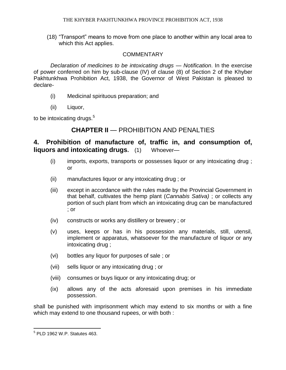(18) "Transport" means to move from one place to another within any local area to which this Act applies.

#### **COMMENTARY**

*Declaration of medicines to be intoxicating drugs — Notification*. In the exercise of power conferred on him by sub-clause (IV) of clause (8) of Section 2 of the Khyber Pakhtunkhwa Prohibition Act, 1938, the Governor of West Pakistan is pleased to declare-

- (i) Medicinal spirituous preparation; and
- (ii) Liquor,

to be intoxicating drugs. $5$ 

## **CHAPTER II** — PROHIBITION AND PENALTIES

## **4. Prohibition of manufacture of, traffic in, and consumption of, liquors and intoxicating drugs.** (1) Whoever—

- (i) imports, exports, transports or possesses liquor or any intoxicating drug ; or
- (ii) manufactures liquor or any intoxicating drug ; or
- (iii) except in accordance with the rules made by the Provincial Government in that behalf, cultivates the hemp plant (*Cannabis Sativa)* ; or collects any portion of such plant from which an intoxicating drug can be manufactured ; or
- (iv) constructs or works any distillery or brewery ; or
- (v) uses, keeps or has in his possession any materials, still, utensil, implement or apparatus, whatsoever for the manufacture of liquor or any intoxicating drug ;
- (vi) bottles any liquor for purposes of sale ; or
- (vii) sells liquor or any intoxicating drug ; or
- (viii) consumes or buys liquor or any intoxicating drug; or
- (ix) allows any of the acts aforesaid upon premises in his immediate possession.

shall be punished with imprisonment which may extend to six months or with a fine which may extend to one thousand rupees, or with both :

 5 PLD 1962 W.P. Statutes 463.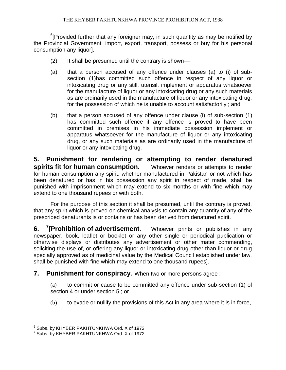$6$ [Provided further that any foreigner may, in such quantity as may be notified by the Provincial Government, import, export, transport, possess or buy for his personal consumption any liquor].

- (2) It shall be presumed until the contrary is shown—
- (a) that a person accused of any offence under clauses (a) to (i) of subsection (1)has committed such offence in respect of any liquor or intoxicating drug or any still, utensil, implement or apparatus whatsoever for the manufacture of liquor or any intoxicating drug or any such materials as are ordinarily used in the manufacture of liquor or any intoxicating drug, for the possession of which he is unable to account satisfactorily ; and
- (b) that a person accused of any offence under clause (i) of sub-section (1) has committed such offence if any offence is proved to have been committed in premises in his immediate possession implement or apparatus whatsoever for the manufacture of liquor or any intoxicating drug, or any such materials as are ordinarily used in the manufacture of liquor or any intoxicating drug.

**5. Punishment for rendering or attempting to render denatured spirits fit for human consumption.** Whoever renders or attempts to render for human consumption any spirit, whether manufactured in Pakistan or not which has been denatured or has in his possession any spirit in respect of made, shall be punished with imprisonment which may extend to six months or with fine which may extend to one thousand rupees or with both.

For the purpose of this section it shall be presumed, until the contrary is proved, that any spirit which is proved on chemical analysis to contain any quantity of any of the prescribed denaturants is or contains or has been derived from denatured spirit.

**6. <sup>7</sup> [Prohibition of advertisement.** Whoever prints or publishes in any newspaper, book, leaflet or booklet or any other single or periodical publication or otherwise displays or distributes any advertisement or other mater commending, soliciting the use of, or offering any liquor or intoxicating drug other than liquor or drug specially approved as of medicinal value by the Medical Council established under law, shall be punished with fine which may extend to one thousand rupees].

**7. Punishment for conspiracy.** When two or more persons agree :-

(a) to commit or cause to be committed any offence under sub-section (1) of section 4 or under section 5 ; or

(b) to evade or nullify the provisions of this Act in any area where it is in force,

 $^6$  Subs. by KHYBER PAKHTUNKHWA Ord. X of 1972

<sup>7</sup> Subs. by KHYBER PAKHTUNKHWA Ord. X of 1972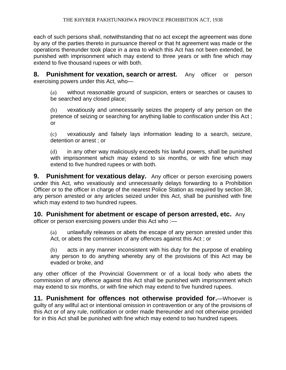each of such persons shall, notwithstanding that no act except the agreement was done by any of the parties thereto in pursuance thereof or that ht agreement was made or the operations thereunder took place in a area to which this Act has not been extended, be punished with imprisonment which may extend to three years or with fine which may extend to five thousand rupees or with both.

**8. Punishment for vexation, search or arrest.** Any officer or person exercising powers under this Act, who—

(a) without reasonable ground of suspicion, enters or searches or causes to be searched any closed place;

(b) vexatiously and unnecessarily seizes the property of any person on the pretence of seizing or searching for anything liable to confiscation under this Act ; or

(c) vexatiously and falsely lays information leading to a search, seizure, detention or arrest ; or

(d) in any other way maliciously exceeds his lawful powers, shall be punished with imprisonment which may extend to six months, or with fine which may extend to five hundred rupees or with both.

**9. Punishment for vexatious delay.** Any officer or person exercising powers under this Act, who vexatiously and unnecessarily delays forwarding to a Prohibition Officer or to the officer in charge of the nearest Police Station as required by section 38, any person arrested or any articles seized under this Act, shall be punished with fine which may extend to two hundred rupees.

**10. Punishment for abetment or escape of person arrested, etc.** Any

officer or person exercising powers under this Act who :—

(a) unlawfully releases or abets the escape of any person arrested under this Act, or abets the commission of any offences against this Act ; or

(b) acts in any manner inconsistent with his duty for the purpose of enabling any person to do anything whereby any of the provisions of this Act may be evaded or broke, and

any other officer of the Provincial Government or of a local body who abets the commission of any offence against this Act shall be punished with imprisonment which may extend to six months, or with fine which may extend to five hundred rupees.

**11. Punishment for offences not otherwise provided for.**—Whoever is guilty of any willful act or intentional omission in contravention or any of the provisions of this Act or of any rule, notification or order made thereunder and not otherwise provided for in this Act shall be punished with fine which may extend to two hundred rupees.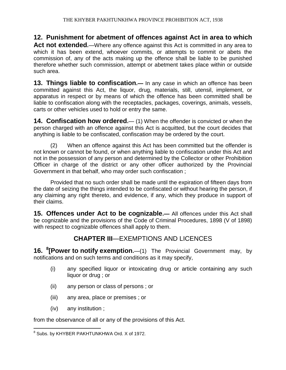**12. Punishment for abetment of offences against Act in area to which Act not extended.**—Where any offence against this Act is committed in any area to which it has been extend, whoever commits, or attempts to commit or abets the commission of, any of the acts making up the offence shall be liable to be punished therefore whether such commission, attempt or abetment takes place within or outside such area.

**13. Things liable to confiscation.—** In any case in which an offence has been committed against this Act, the liquor, drug, materials, still, utensil, implement, or apparatus in respect or by means of which the offence has been committed shall be liable to confiscation along with the receptacles, packages, coverings, animals, vessels, carts or other vehicles used to hold or entry the same.

**14. Confiscation how ordered.** (1) When the offender is convicted or when the person charged with an offence against this Act is acquitted, but the court decides that anything is liable to be confiscated, confiscation may be ordered by the court.

(2) When an offence against this Act has been committed but the offender is not known or cannot be found, or when anything liable to confiscation under this Act and not in the possession of any person and determined by the Collector or other Prohibition Officer in charge of the district or any other officer authorized by the Provincial Government in that behalf, who may order such confiscation ;

Provided that no such order shall be made until the expiration of fifteen days from the date of seizing the things intended to be confiscated or without hearing the person, if any claiming any right thereto, and evidence, if any, which they produce in support of their claims.

**15. Offences under Act to be cognizable.—** All offences under this Act shall be cognizable and the provisions of the Code of Criminal Procedures, 1898 (V of 1898) with respect to cognizable offences shall apply to them.

# **CHAPTER III**—EXEMPTIONS AND LICENCES

**16. <sup>8</sup> [Power to notify exemption.**—(1) The Provincial Government may, by notifications and on such terms and conditions as it may specify,

- (i) any specified liquor or intoxicating drug or article containing any such liquor or drug ; or
- (ii) any person or class of persons ; or
- (iii) any area, place or premises ; or
- (iv) any institution ;

from the observance of all or any of the provisions of this Act.

 8 Subs. by KHYBER PAKHTUNKHWA Ord. X of 1972.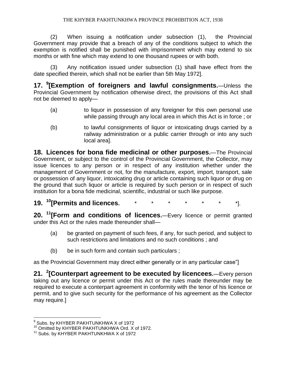#### THE KHYBER PAKHTUNKHWA PROVINCE PROHIBITION ACT, 1938

(2) When issuing a notification under subsection (1), the Provincial Government may provide that a breach of any of the conditions subject to which the exemption is notified shall be punished with imprisonment which may extend to six months or with fine which may extend to one thousand rupees or with both.

(3) Any notification issued under subsection (1) shall have effect from the date specified therein, which shall not be earlier than 5th May 1972].

**17. <sup>9</sup> [Exemption of foreigners and lawful consignments.**—Unless the Provincial Government by notification otherwise direct, the provisions of this Act shall not be deemed to apply—

- (a) to liquor in possession of any foreigner for this own personal use while passing through any local area in which this Act is in force ; or
- (b) to lawful consignments of liquor or intoxicating drugs carried by a railway administration or a public carrier through or into any such local area].

**18. Licences for bona fide medicinal or other purposes.**—The Provincial Government, or subject to the control of the Provincial Government, the Collector, may issue licences to any person or in respect of any institution whether under the management of Government or not, for the manufacture, export, import, transport, sale or possession of any liquor, intoxicating drug or article containing such liquor or drug on the ground that such liquor or article is required by such person or in respect of such institution for a bona fide medicinal, scientific, industrial or such like purpose.

**19. <sup>10</sup>[Permits and licences.** \* \* \* \* \* \* \*].

**20. <sup>11</sup>[Form and conditions of licences.**—Every licence or permit granted under this Act or the rules made thereunder shall—

- (a) be granted on payment of such fees, if any, for such period, and subject to such restrictions and limitations and no such conditions ; and
- (b) be in such form and contain such particulars ;

as the Provincial Government may direct either generally or in any particular case"]

**21. <sup>2</sup> [Counterpart agreement to be executed by licencees.**—Every person taking out any licence or permit under this Act or the rules made thereunder may be required to execute a conterpart agreement in conformity with the tenor of his licence or permit, and to give such security for the performance of his agreement as the Collector may require.]

 9 Subs. by KHYBER PAKHTUNKHWA X of 1972

<sup>&</sup>lt;sup>10</sup> Omitted by KHYBER PAKHTUNKHWA Ord. X of 1972.

<sup>&</sup>lt;sup>11</sup> Subs. by KHYBER PAKHTUNKHWA X of 1972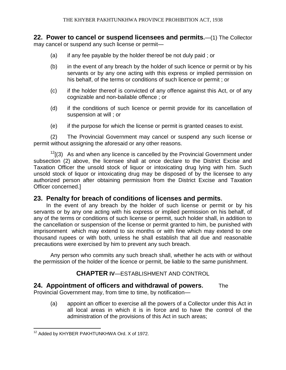**22. Power to cancel or suspend licensees and permits.**—(1) The Collector may cancel or suspend any such license or permit—

- (a) if any fee payable by the holder thereof be not duly paid ; or
- (b) in the event of any breach by the holder of such licence or permit or by his servants or by any one acting with this express or implied permission on his behalf, of the terms or conditions of such licence or permit ; or
- (c) if the holder thereof is convicted of any offence against this Act, or of any cognizable and non-bailable offence ; or
- (d) if the conditions of such licence or permit provide for its cancellation of suspension at will ; or
- (e) if the purpose for which the license or permit is granted ceases to exist.

(2) The Provincial Government may cancel or suspend any such license or permit without assigning the aforesaid or any other reasons.

 $12$ [(3) As and when any licence is cancelled by the Provincial Government under subsection (2) above, the licensee shall at once declare to the District Excise and Taxation Officer the unsold stock of liquor or intoxicating drug lying with him. Such unsold stock of liquor or intoxicating drug may be disposed of by the licensee to any authorized person after obtaining permission from the District Excise and Taxation Officer concerned.]

## **23. Penalty for breach of conditions of licenses and permits.**

In the event of any breach by the holder of such license or permit or by his servants or by any one acting with his express or implied permission on his behalf, of any of the terms or conditions of such license or permit, such holder shall, in addition to the cancellation or suspension of the license or permit granted to him, be punished with imprisonment which may extend to six months or with fine which may extend to one thousand rupees or with both, unless he shall establish that all due and reasonable precautions were exercised by him to prevent any such breach.

Any person who commits any such breach shall, whether he acts with or without the permission of the holder of the licence or permit, be liable to the same punishment.

## **CHAPTER IV**—ESTABLISHMENT AND CONTROL

## **24. Appointment of officers and withdrawal of powers.** The

Provincial Government may, from time to time, by notification—

(a) appoint an officer to exercise all the powers of a Collector under this Act in all local areas in which it is in force and to have the control of the administration of the provisions of this Act in such areas;

 $12$  Added by KHYBER PAKHTUNKHWA Ord. X of 1972.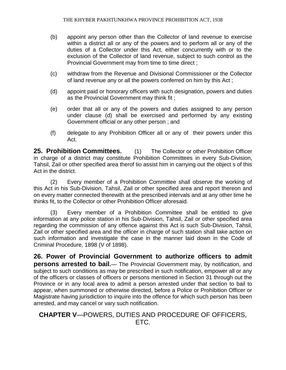- (b) appoint any person other than the Collector of land revenue to exercise within a district all or any of the powers and to perform all or any of the duties of a Collector under this Act, either concurrently with or to the exclusion of the Collector of land revenue, subject to such control as the Provincial Government may from time to time direct ;
- (c) withdraw from the Revenue and Divisional Commissioner or the Collector of land revenue any or all the powers conferred on him by this Act ;
- (d) appoint paid or honorary officers with such designation, powers and duties as the Provincial Government may think fit ;
- (e) order that all or any of the powers and duties assigned to any person under clause (d) shall be exercised and performed by any existing Government official or any other person ; and
- (f) delegate to any Prohibition Officer all or any of their powers under this Act.

**25. Prohibition Committees.** (1) The Collector or other Prohibition Officer in charge of a district may constitute Prohibition Committees in every Sub-Division, Tahsil, Zail or other specified area therof tio assist him in carrying out the object s of this Act in the district.

(2) Every member of a Prohibition Committee shall observe the working of this Act in his Sub-Division, Tahsil, Zail or other specified area and report thereon and on every matter connected therewith at the prescribed intervals and at any other time he thinks fit, to the Collector or other Prohibition Officer aforesaid.

(3) Every member of a Prohibition Committee shall be entitled to give information at any police station in his Sub-Division, Tahsil, Zail or other specified area regarding the commission of any offence against this Act is such Sub-Division, Tahsil, Zail or other specified area and the officer in charge of such station shall take action on such information and investigate the case in the manner laid down in the Code of Criminal Procedure, 1898 (V of 1898).

**26. Power of Provincial Government to authorize officers to admit persons arrested to bail.**— The Provincial Government may, by notification, and subject to such conditions as may be prescribed in such notification, empower all or any of the officers or classes of officers or persons mentioned in Section 31 through out the Province or in any local area to admit a person arrested under that section to bail to appear, when summoned or otherwise directed, before a Police or Prohibition Officer or Magistrate having jurisdiction to inquire into the offence for which such person has been arrested, and may cancel or vary such notification.

## **CHAPTER V**—POWERS, DUTIES AND PROCEDURE OF OFFICERS, ETC.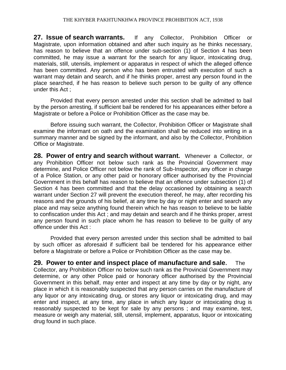**27. Issue of search warrants.** If any Collector, Prohibition Officer or Magistrate, upon information obtained and after such inquiry as he thinks necessary, has reason to believe that an offence under sub-section (1) of Section 4 has been committed, he may issue a warrant for the search for any liquor, intoxicating drug, materials, still, utensils, implement or apparatus in respect of which the alleged offence has been committed. Any person who has been entrusted with execution of such a warrant may detain and search, and if he thinks proper, arrest any person found in the place searched, if he has reason to believe such person to be guilty of any offence under this Act ;

Provided that every person arrested under this section shall be admitted to bail by the person arresting, if sufficient bail be rendered for his appearances either before a Magistrate or before a Police or Prohibition Officer as the case may be.

Before issuing such warrant, the Collector, Prohibition Officer or Magistrate shall examine the informant on oath and the examination shall be reduced into writing in a summary manner and be signed by the informant, and also by the Collector, Prohibition Office or Magistrate.

**28. Power of entry and search without warrant.** Whenever a Collector, or any Prohibition Officer not below such rank as the Provincial Government may determine, and Police Officer not below the rank of Sub-Inspector, any officer in charge of a Police Station, or any other paid or honorary officer authorised by the Provincial Government in this behalf has reason to believe that an offence under subsection (1) of Section 4 has been committed and that the delay occasioned by obtaining a search warrant under Section 27 will prevent the execution thereof, he may, after recording his reasons and the grounds of his belief, at any time by day or night enter and search any place and may seize anything found therein which he has reason to believe to be liable to confiscation under this Act ; and may detain and search and if he thinks proper, arrest any person found in such place whom he has reason to believe to be guilty of any offence under this Act :

Provided that every person arrested under this section shall be admitted to bail by such officer as aforesaid if sufficient bail be tendered for his appearance either before a Magistrate or before a Police or Prohibition Officer as the case may be.

**29. Power to enter and inspect place of manufacture and sale.** The Collector, any Prohibition Officer no below such rank as the Provincial Government may determine, or any other Police paid or honorary officer authorised by the Provincial Government in this behalf, may enter and inspect at any time by day or by night, any place in which it is reasonably suspected that any person carries on the manufacture of any liquor or any intoxicating drug, or stores any liquor or intoxicating drug, and may enter and inspect, at any time, any place in which any liquor or intoxicating drug is reasonably suspected to be kept for sale by any persons ; and may examine, test, measure or weigh any material, still, utensil, implement, apparatus, liquor or intoxicating drug found in such place.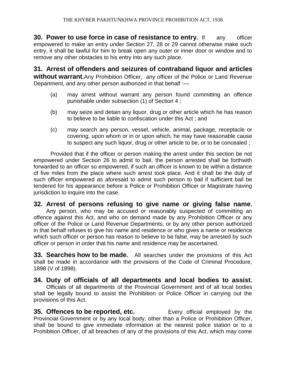**30. Power to use force in case of resistance to entry.** If any officer empowered to make an entry under Section 27, 28 or 29 cannot otherwise make such entry, it shall be lawful for him to break open any outer or inner door or window and to remove any other obstacles to his entry into any such place.

**31. Arrest of offenders and seizures of contraband liquor and articles without warrant.** Any Prohibition Officer, any officer of the Police or Land Revenue Department, and any other person authorized in that behalf :-

- (a) may arrest without warrant any person found committing an offence punishable under subsection (1) of Section 4 ;
- (b) may seize and detain any liquor, drug or other article which he has reason to believe to be liable to confiscation under this Act ; and
- (c) may search any person, vessel, vehicle, animal, package, receptacle or covering, upon whom or in or upon which, he may have reasonable cause to suspect any such liquor, drug or other article to be, or to be concealed ;

Provided that if the officer or person making the arrest under this section be not empowered under Section 26 to admit to bail, the person arrested shall be forthwith forwarded to an officer so empowered, if such an officer is known to be within a distance of five miles from the place where such arrest took place. And it shall be the duty of such officer empowered as aforesaid to admit such person to bail if sufficient bail be tendered for his appearance before a Police or Prohibition Officer or Magistrate having jurisdiction to inquire into the case.

# **32. Arrest of persons refusing to give name or giving false name.**

Any person, who may be accused or reasonably suspected of committing an offence against this Act, and who on demand made by any Prohibition Officer or any officer of the Police or Land Revenue Departments, or by any other person authorized in that behalf refuses to give his name and residence or who gives a name or residence which such officer or person has reason to believe to be false, may be arrested by such officer or person in order that his name and residence may be ascertained.

**33. Searches how to be made.** All searches under the provisions of this Act shall be made in accordance with the provisions of the Code of Criminal Procedure, 1898 (V of 1898).

**34. Duty of officials of all departments and local bodies to assist.** Officials of all departments of the Provincial Government and of all local bodies shall be legally bound to assist the Prohibition or Police Officer in carrying out the provisions of this Act.

**35. Offences to be reported, etc.** Every official employed by the Provincial Government or by any local body, other than a Police or Prohibition Officer, shall be bound to give immediate information at the nearest police station or to a Prohibition Officer, of all breaches of any of the provisions of this Act, which may come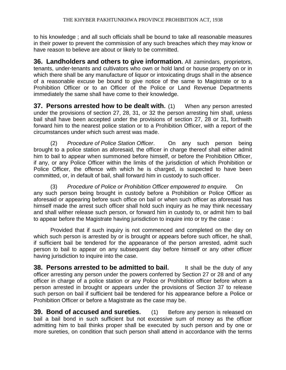to his knowledge ; and all such officials shall be bound to take all reasonable measures in their power to prevent the commission of any such breaches which they may know or have reason to believe are about or likely to be committed.

**36. Landholders and others to give information.** All zamindars, proprietors, tenants, under-tenants and cultivators who own or hold land or house property on or in which there shall be any manufacture of liquor or intoxicating drugs shall in the absence of a reasonable excuse be bound to give notice of the same to Magistrate or to a Prohibition Officer or to an Officer of the Police or Land Revenue Departments immediately the same shall have come to their knowledge.

**37. Persons arrested how to be dealt with.** (1) When any person arrested under the provisions of section 27, 28, 31, or 32 the person arresting him shall, unless bail shall have been accepted under the provisions of section 27, 28 or 31, forthwith forward him to the nearest police station or to a Prohibition Officer, with a report of the circumstances under which such arrest was made.

(2) *Procedure of Police Station Officer*. On any such person being brought to a police station as aforesaid, the officer in charge thereof shall either admit him to bail to appear when summoned before himself, or before the Prohibition Officer, if any, or any Police Officer within the limits of the jurisdiction of which Prohibition or Police Officer, the offence with which he is charged, is suspected to have been committed, or, in default of bail, shall forward him in custody to such officer.

(3) *Procedure of Police or Prohibition Officer empowered to enquire.* On any such person being brought in custody before a Prohibition or Police Officer as aforesaid or appearing before such office on bail or when such officer as aforesaid has himself made the arrest such officer shall hold such inquiry as he may think necessary and shall wither release such person, or forward him in custody to, or admit him to bail to appear before the Magistrate having jurisdiction to inquire into or try the case :

Provided that if such inquiry is not commenced and completed on the day on which such person is arrested by or is brought or appears before such officer, he shall, if sufficient bail be tendered for the appearance of the person arrested, admit such person to bail to appear on any subsequent day before himself or any other officer having jurisdiction to inquire into the case.

**38. Persons arrested to be admitted to bail.** It shall be the duty of any officer arresting any person under the powers conferred by Section 27 or 28 and of any officer in charge of a police station or any Police or Prohibition officer before whom a person arrested in brought or appears under the provisions of Section 37 to release such person on bail if sufficient bail be tendered for his appearance before a Police or Prohibition Officer or before a Magistrate as the case may be.

**39. Bond of accused and sureties.** (1) Before any person is released on bail a bail bond in such sufficient but not excessive sum of money as the officer admitting him to bail thinks proper shall be executed by such person and by one or more sureties, on condition that such person shall attend in accordance with the terms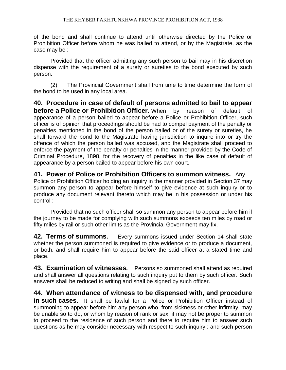of the bond and shall continue to attend until otherwise directed by the Police or Prohibition Officer before whom he was bailed to attend, or by the Magistrate, as the case may be :

Provided that the officer admitting any such person to bail may in his discretion dispense with the requirement of a surety or sureties to the bond executed by such person.

(2) The Provincial Government shall from time to time determine the form of the bond to be used in any local area.

**40. Procedure in case of default of persons admitted to bail to appear before a Police or Prohibition Officer.** When by reason of default of appearance of a person bailed to appear before a Police or Prohibition Officer, such officer is of opinion that proceedings should be had to compel payment of the penalty or penalties mentioned in the bond of the person bailed or of the surety or sureties, he shall forward the bond to the Magistrate having jurisdiction to inquire into or try the offence of which the person bailed was accused, and the Magistrate shall proceed to enforce the payment of the penalty or penalties in the manner provided by the Code of Criminal Procedure, 1898, for the recovery of penalties in the like case of default of appearance by a person bailed to appear before his own court.

**41. Power of Police or Prohibition Officers to summon witness.** Any Police or Prohibition Officer holding an inquiry in the manner provided in Section 37 may summon any person to appear before himself to give evidence at such inquiry or to produce any document relevant thereto which may be in his possession or under his control :

Provided that no such officer shall so summon any person to appear before him if the journey to be made for complying with such summons exceeds ten miles by road or fifty miles by rail or such other limits as the Provincial Government may fix.

**42. Terms of summons.** Every summons issued under Section 14 shall state whether the person summoned is required to give evidence or to produce a document, or both, and shall require him to appear before the said officer at a stated time and place.

**43. Examination of witnesses.** Persons so summoned shall attend as required and shall answer all questions relating to such inquiry put to them by such officer. Such answers shall be reduced to writing and shall be signed by such officer.

**44. When attendance of witness to be dispensed with, and procedure in such cases.** It shall be lawful for a Police or Prohibition Officer instead of summoning to appear before him any person who, from sickness or other infirmity, may be unable so to do, or whom by reason of rank or sex, it may not be proper to summon to proceed to the residence of such person and there to require him to answer such questions as he may consider necessary with respect to such inquiry ; and such person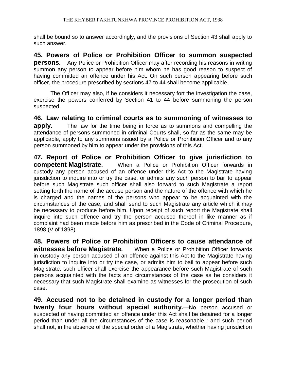shall be bound so to answer accordingly, and the provisions of Section 43 shall apply to such answer.

**45. Powers of Police or Prohibition Officer to summon suspected persons.** Any Police or Prohibition Officer may after recording his reasons in writing summon any person to appear before him whom he has good reason to suspect of having committed an offence under his Act. On such person appearing before such officer, the procedure prescribed by sections 47 to 44 shall become applicable.

The Officer may also, if he considers it necessary fort the investigation the case, exercise the powers conferred by Section 41 to 44 before summoning the person suspected.

**46. Law relating to criminal courts as to summoning of witnesses to apply.** The law for the time being in force as to summons and compelling the attendance of persons summoned in criminal Courts shall, so far as the same may be applicable, apply to any summons issued by a Police or Prohibition Officer and to any person summoned by him to appear under the provisions of this Act.

**47. Report of Police or Prohibition Officer to give jurisdiction to competent Magistrate.** When a Police or Prohibition Officer forwards in custody any person accused of an offence under this Act to the Magistrate having jurisdiction to inquire into or try the case, or admits any such person to bail to appear before such Magistrate such officer shall also forward to such Magistrate a report setting forth the name of the accuse person and the nature of the offence with which he is charged and the names of the persons who appear to be acquainted with the circumstances of the case, and shall send to such Magistrate any article which it may be necessary to produce before him. Upon receipt of such report the Magistrate shall inquire into such offence and try the person accused thereof in like manner as if complaint had been made before him as prescribed in the Code of Criminal Procedure, 1898 (V of 1898).

**48. Powers of Police or Prohibition Officers to cause attendance of witnesses before Magistrate.** When a Police or Prohibition Officer forwards in custody any person accused of an offence against this Act to the Magistrate having jurisdiction to inquire into or try the case, or admits him to bail to appear before such Magistrate, such officer shall exercise the appearance before such Magistrate of such persons acquainted with the facts and circumstances of the case as he considers it necessary that such Magistrate shall examine as witnesses for the prosecution of such case.

**49. Accused not to be detained in custody for a longer period than twenty four hours without special authority.—**No person accused or suspected of having committed an offence under this Act shall be detained for a longer period than under all the circumstances of the case is reasonable : and such period shall not, in the absence of the special order of a Magistrate, whether having jurisdiction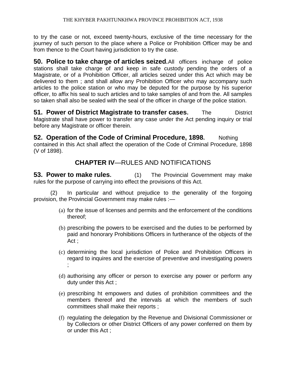to try the case or not, exceed twenty-hours, exclusive of the time necessary for the journey of such person to the place where a Police or Prohibition Officer may be and from thence to the Court having jurisdiction to try the case.

**50. Police to take charge of articles seized.**All officers incharge of police stations shall take charge of and keep in safe custody pending the orders of a Magistrate, or of a Prohibition Officer, all articles seized under this Act which may be delivered to them ; and shall allow any Prohibition Officer who may accompany such articles to the police station or who may be deputed for the purpose by his superior officer, to affix his seal to such articles and to take samples of and from the. All samples so taken shall also be sealed with the seal of the officer in charge of the police station.

**51. Power of District Magistrate to transfer cases.** The District Magistrate shall have power to transfer any case under the Act pending inquiry or trial before any Magistrate or officer therein.

**52. Operation of the Code of Criminal Procedure, 1898.** Nothing contained in this Act shall affect the operation of the Code of Criminal Procedure, 1898 (V of 1898).

# **CHAPTER IV**—RULES AND NOTIFICATIONS

**53. Power to make rules.** (1) The Provincial Government may make rules for the purpose of carrying into effect the provisions of this Act.

(2) In particular and without prejudice to the generality of the forgoing provision, the Provincial Government may make rules :—

- (a) for the issue of licenses and permits and the enforcement of the conditions thereof;
- (b) prescribing the powers to be exercised and the duties to be performed by paid and honorary Prohibitions Officers in furtherance of the objects of the Act ;
- (c) determining the local jurisdiction of Police and Prohibition Officers in regard to inquires and the exercise of preventive and investigating powers ;
- (d) authorising any officer or person to exercise any power or perform any duty under this Act ;
- (e) prescribing ht empowers and duties of prohibition committees and the members thereof and the intervals at which the members of such committees shall make their reports ;
- (f) regulating the delegation by the Revenue and Divisional Commissioner or by Collectors or other District Officers of any power conferred on them by or under this Act ;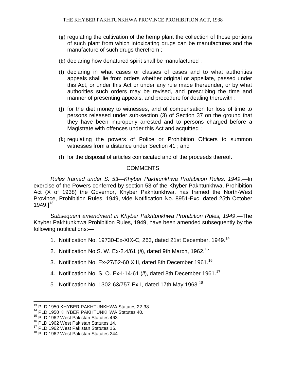- (g) regulating the cultivation of the hemp plant the collection of those portions of such plant from which intoxicating drugs can be manufactures and the manufacture of such drugs therefrom ;
- (h) declaring how denatured spirit shall be manufactured ;
- (i) declaring in what cases or classes of cases and to what authorities appeals shall lie from orders whether original or appellate, passed under this Act, or under this Act or under any rule made thereunder, or by what authorities such orders may be revised, and prescribing the time and manner of presenting appeals, and procedure for dealing therewith ;
- (j) for the diet money to witnesses, and of compensation for loss of time to persons released under sub-section (3) of Section 37 on the ground that they have been improperly arrested and to persons charged before a Magistrate with offences under this Act and acquitted ;
- (k) regulating the powers of Police or Prohibition Officers to summon witnesses from a distance under Section 41 ; and
- (l) for the disposal of articles confiscated and of the proceeds thereof.

## **COMMENTS**

*Rules framed under S. 53—Khyber Pakhtunkhwa Prohibition Rules, 1949*.—In exercise of the Powers conferred by section 53 of the Khyber Pakhtunkhwa, Prohibition Act (X of 1938) the Governor, Khyber Pakhtunkhwa, has framed the North-West Province, Prohibition Rules, 1949, vide Notification No. 8951-Exc, dated 25th October  $1949.$ ]<sup>13</sup>

*Subsequent amendment in Khyber Pakhtunkhwa Prohibition Rules, 1949*.—The Khyber Pakhtunkhwa Prohibition Rules, 1949, have been amended subsequently by the following notifications:—

- 1. Notification No. 19730-Ex-XIX-C, 263, dated 21st December, 1949.<sup>14</sup>
- 2. Notification No.S. W. Ex-2.4/61 (*ii*), dated 9th March, 1962.<sup>15</sup>
- 3. Notification No. Ex-27/52-60 XIII, dated 8th December 1961.<sup>16</sup>
- 4. Notification No. S. O. Ex-I-14-61 (*ii*), dated 8th December 1961.<sup>17</sup>
- 5. Notification No. 1302-63/757-Ex-I, dated 17th May 1963.<sup>18</sup>

 $\overline{a}$ <sup>13</sup> PLD 1950 KHYBER PAKHTUNKHWA Statutes 22-38.

<sup>&</sup>lt;sup>14</sup> PLD 1950 KHYBER PAKHTUNKHWA Statutes 40.

<sup>15</sup> PLD 1962 West Pakistan Statutes 463.

<sup>&</sup>lt;sup>16</sup> PLD 1962 West Pakistan Statutes 14.

<sup>&</sup>lt;sup>17</sup> PLD 1962 West Pakistan Statutes 16.

<sup>&</sup>lt;sup>18</sup> PLD 1962 West Pakistan Statutes 244.